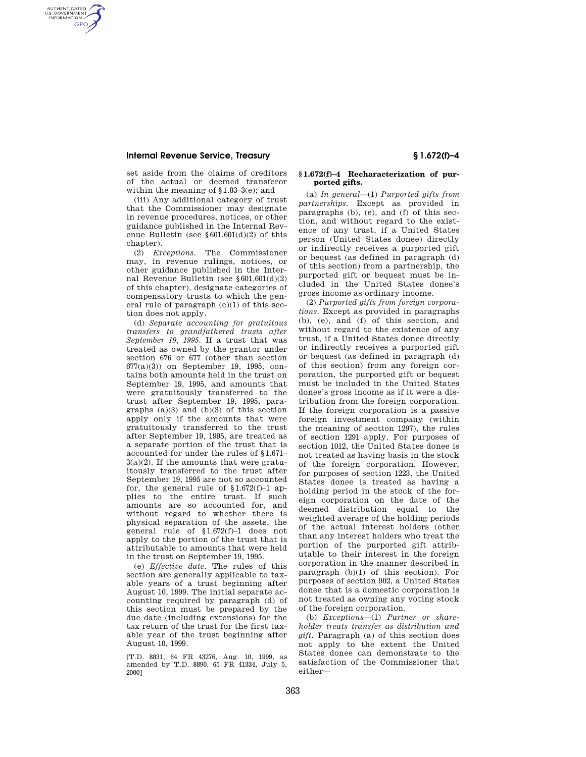## **Internal Revenue Service, Treasury § 1.672(f)–4**

AUTHENTICATED<br>U.S. GOVERNMENT<br>INFORMATION **GPO** 

> set aside from the claims of creditors of the actual or deemed transferor within the meaning of §1.83–3(e); and

> (iii) Any additional category of trust that the Commissioner may designate in revenue procedures, notices, or other guidance published in the Internal Revenue Bulletin (see §601.601(d)(2) of this chapter).

> (2) *Exceptions.* The Commissioner may, in revenue rulings, notices, or other guidance published in the Internal Revenue Bulletin (see §601.601(d)(2) of this chapter), designate categories of compensatory trusts to which the general rule of paragraph (c)(1) of this section does not apply.

(d) *Separate accounting for gratuitous transfers to grandfathered trusts after September 19, 1995.* If a trust that was treated as owned by the grantor under section 676 or 677 (other than section 677(a)(3)) on September 19, 1995, contains both amounts held in the trust on September 19, 1995, and amounts that were gratuitously transferred to the trust after September 19, 1995, paragraphs (a)(3) and (b)(3) of this section apply only if the amounts that were gratuitously transferred to the trust after September 19, 1995, are treated as a separate portion of the trust that is accounted for under the rules of §1.671– 3(a)(2). If the amounts that were gratuitously transferred to the trust after September 19, 1995 are not so accounted for, the general rule of  $$1.672(f)-1$  applies to the entire trust. If such amounts are so accounted for, and without regard to whether there is physical separation of the assets, the general rule of §1.672(f)–1 does not apply to the portion of the trust that is attributable to amounts that were held in the trust on September 19, 1995.

(e) *Effective date.* The rules of this section are generally applicable to taxable years of a trust beginning after August 10, 1999. The initial separate accounting required by paragraph (d) of this section must be prepared by the due date (including extensions) for the tax return of the trust for the first taxable year of the trust beginning after August 10, 1999.

[T.D. 8831, 64 FR 43276, Aug. 10, 1999, as amended by T.D. 8890, 65 FR 41334, July 5, 2000]

## **§ 1.672(f)–4 Recharacterization of purported gifts.**

(a) *In general*—(1) *Purported gifts from partnerships.* Except as provided in paragraphs (b), (e), and (f) of this section, and without regard to the existence of any trust, if a United States person (United States donee) directly or indirectly receives a purported gift or bequest (as defined in paragraph (d) of this section) from a partnership, the purported gift or bequest must be included in the United States donee's gross income as ordinary income.

(2) *Purported gifts from foreign corporations.* Except as provided in paragraphs (b), (e), and (f) of this section, and without regard to the existence of any trust, if a United States donee directly or indirectly receives a purported gift or bequest (as defined in paragraph (d) of this section) from any foreign corporation, the purported gift or bequest must be included in the United States donee's gross income as if it were a distribution from the foreign corporation. If the foreign corporation is a passive foreign investment company (within the meaning of section 1297), the rules of section 1291 apply. For purposes of section 1012, the United States donee is not treated as having basis in the stock of the foreign corporation. However, for purposes of section 1223, the United States donee is treated as having a holding period in the stock of the foreign corporation on the date of the deemed distribution equal to the weighted average of the holding periods of the actual interest holders (other than any interest holders who treat the portion of the purported gift attributable to their interest in the foreign corporation in the manner described in paragraph (b)(1) of this section). For purposes of section 902, a United States donee that is a domestic corporation is not treated as owning any voting stock of the foreign corporation.

(b) *Exceptions*—(1) *Partner or shareholder treats transfer as distribution and gift.* Paragraph (a) of this section does not apply to the extent the United States donee can demonstrate to the satisfaction of the Commissioner that either—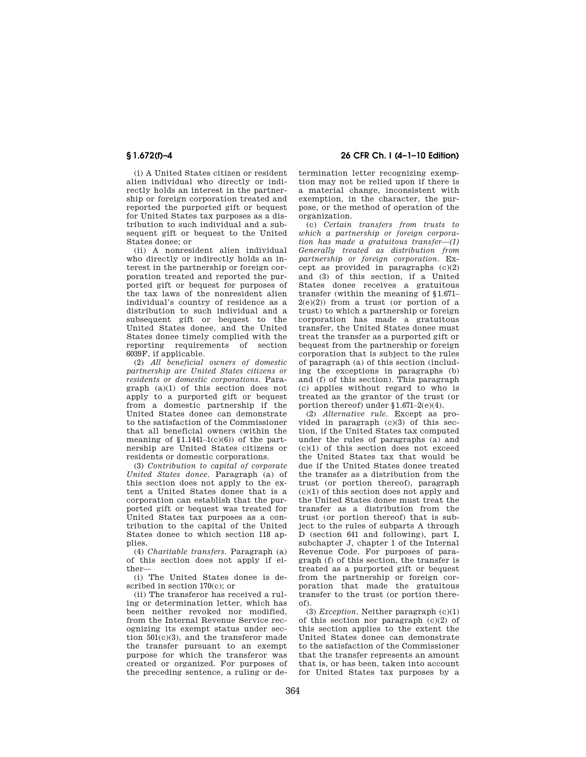(i) A United States citizen or resident alien individual who directly or indirectly holds an interest in the partnership or foreign corporation treated and reported the purported gift or bequest for United States tax purposes as a distribution to such individual and a subsequent gift or bequest to the United States donee; or

(ii) A nonresident alien individual who directly or indirectly holds an interest in the partnership or foreign corporation treated and reported the purported gift or bequest for purposes of the tax laws of the nonresident alien individual's country of residence as a distribution to such individual and a subsequent gift or bequest to the United States donee, and the United States donee timely complied with the reporting requirements of section 6039F, if applicable.

(2) *All beneficial owners of domestic partnership are United States citizens or residents or domestic corporations.* Paragraph (a)(1) of this section does not apply to a purported gift or bequest from a domestic partnership if the United States donee can demonstrate to the satisfaction of the Commissioner that all beneficial owners (within the meaning of  $$1.1441-1(c)(6)$  of the partnership are United States citizens or residents or domestic corporations.

(3) *Contribution to capital of corporate United States donee.* Paragraph (a) of this section does not apply to the extent a United States donee that is a corporation can establish that the purported gift or bequest was treated for United States tax purposes as a contribution to the capital of the United States donee to which section 118 applies.

(4) *Charitable transfers.* Paragraph (a) of this section does not apply if either—

(i) The United States donee is described in section 170(c); or

(ii) The transferor has received a ruling or determination letter, which has been neither revoked nor modified, from the Internal Revenue Service recognizing its exempt status under section 501(c)(3), and the transferor made the transfer pursuant to an exempt purpose for which the transferor was created or organized. For purposes of the preceding sentence, a ruling or de-

# **§ 1.672(f)–4 26 CFR Ch. I (4–1–10 Edition)**

termination letter recognizing exemption may not be relied upon if there is a material change, inconsistent with exemption, in the character, the purpose, or the method of operation of the organization.

(c) *Certain transfers from trusts to which a partnership or foreign corporation has made a gratuitous transfer—(1) Generally treated as distribution from partnership or foreign corporation.* Except as provided in paragraphs  $(c)(2)$ and (3) of this section, if a United States donee receives a gratuitous transfer (within the meaning of §1.671–  $2(e)(2)$ ) from a trust (or portion of a trust) to which a partnership or foreign corporation has made a gratuitous transfer, the United States donee must treat the transfer as a purported gift or bequest from the partnership or foreign corporation that is subject to the rules of paragraph (a) of this section (including the exceptions in paragraphs (b) and (f) of this section). This paragraph (c) applies without regard to who is treated as the grantor of the trust (or portion thereof) under §1.671–2(e)(4).

(2) *Alternative rule.* Except as provided in paragraph (c)(3) of this section, if the United States tax computed under the rules of paragraphs (a) and (c)(1) of this section does not exceed the United States tax that would be due if the United States donee treated the transfer as a distribution from the trust (or portion thereof), paragraph (c)(1) of this section does not apply and the United States donee must treat the transfer as a distribution from the trust (or portion thereof) that is subject to the rules of subparts A through D (section 641 and following), part I, subchapter J, chapter 1 of the Internal Revenue Code. For purposes of paragraph (f) of this section, the transfer is treated as a purported gift or bequest from the partnership or foreign corporation that made the gratuitous transfer to the trust (or portion thereof).

(3) *Exception.* Neither paragraph (c)(1) of this section nor paragraph (c)(2) of this section applies to the extent the United States donee can demonstrate to the satisfaction of the Commissioner that the transfer represents an amount that is, or has been, taken into account for United States tax purposes by a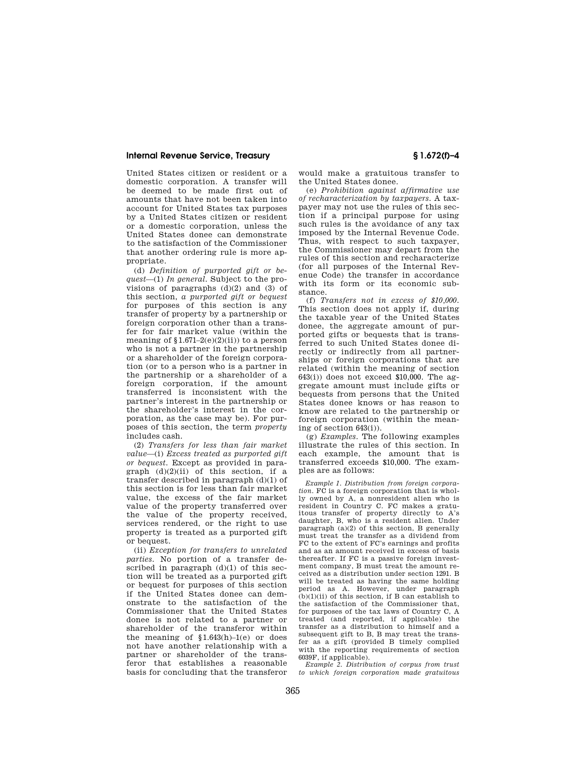## **Internal Revenue Service, Treasury § 1.672(f)–4**

United States citizen or resident or a domestic corporation. A transfer will be deemed to be made first out of amounts that have not been taken into account for United States tax purposes by a United States citizen or resident or a domestic corporation, unless the United States donee can demonstrate to the satisfaction of the Commissioner that another ordering rule is more appropriate.

(d) *Definition of purported gift or bequest*—(1) *In general.* Subject to the provisions of paragraphs  $(d)(2)$  and  $(3)$  of this section, *a purported gift or bequest*  for purposes of this section is any transfer of property by a partnership or foreign corporation other than a transfer for fair market value (within the meaning of  $$1.671-2(e)(2)(ii)$  to a person who is not a partner in the partnership or a shareholder of the foreign corporation (or to a person who is a partner in the partnership or a shareholder of a foreign corporation, if the amount transferred is inconsistent with the partner's interest in the partnership or the shareholder's interest in the corporation, as the case may be). For purposes of this section, the term *property*  includes cash.

(2) *Transfers for less than fair market value*—(i) *Excess treated as purported gift or bequest.* Except as provided in paragraph  $(d)(2)(ii)$  of this section, if a transfer described in paragraph (d)(1) of this section is for less than fair market value, the excess of the fair market value of the property transferred over the value of the property received, services rendered, or the right to use property is treated as a purported gift or bequest.

(ii) *Exception for transfers to unrelated parties.* No portion of a transfer described in paragraph (d)(1) of this section will be treated as a purported gift or bequest for purposes of this section if the United States donee can demonstrate to the satisfaction of the Commissioner that the United States donee is not related to a partner or shareholder of the transferor within the meaning of  $$1.643(h)-1(e)$  or does not have another relationship with a partner or shareholder of the transferor that establishes a reasonable basis for concluding that the transferor

would make a gratuitous transfer to the United States donee.

(e) *Prohibition against affirmative use of recharacterization by taxpayers.* A taxpayer may not use the rules of this section if a principal purpose for using such rules is the avoidance of any tax imposed by the Internal Revenue Code. Thus, with respect to such taxpayer, the Commissioner may depart from the rules of this section and recharacterize (for all purposes of the Internal Revenue Code) the transfer in accordance with its form or its economic substance.

(f) *Transfers not in excess of \$10,000.*  This section does not apply if, during the taxable year of the United States donee, the aggregate amount of purported gifts or bequests that is transferred to such United States donee directly or indirectly from all partnerships or foreign corporations that are related (within the meaning of section  $643(i)$ ) does not exceed \$10,000. The aggregate amount must include gifts or bequests from persons that the United States donee knows or has reason to know are related to the partnership or foreign corporation (within the meaning of section 643(i)).

(g) *Examples.* The following examples illustrate the rules of this section. In each example, the amount that is transferred exceeds \$10,000. The examples are as follows:

*Example 1. Distribution from foreign corporation.* FC is a foreign corporation that is wholly owned by A, a nonresident alien who is resident in Country C. FC makes a gratuitous transfer of property directly to A's daughter, B, who is a resident alien. Under paragraph  $(a)(2)$  of this section, B generally must treat the transfer as a dividend from FC to the extent of FC's earnings and profits and as an amount received in excess of basis thereafter. If FC is a passive foreign investment company, B must treat the amount received as a distribution under section 1291. B will be treated as having the same holding period as A. However, under paragraph  $(b)(1)(ii)$  of this section, if B can establish to the satisfaction of the Commissioner that, for purposes of the tax laws of Country C, A treated (and reported, if applicable) the transfer as a distribution to himself and a subsequent gift to B, B may treat the transfer as a gift (provided B timely complied with the reporting requirements of section 6039F, if applicable).

*Example 2. Distribution of corpus from trust to which foreign corporation made gratuitous*